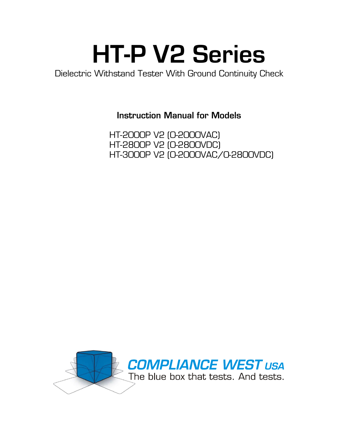# **HT-P V2 Series**<br>Dielectric Withstand Tester With Ground Continuity Check

**Instruction Manual for Models** 

HT-2000P V2 (0-2000VAC) HT-2800P V2 (0-2800VDC) HT-3000P V2 (0-2000VAC/0-2800VDC)

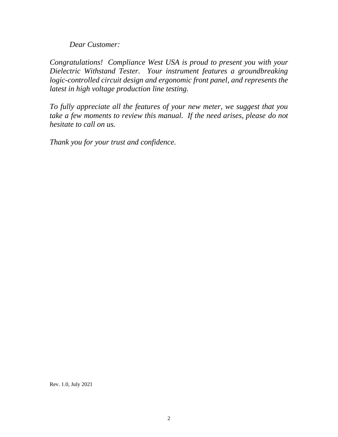*Dear Customer:*

*Congratulations! Compliance West USA is proud to present you with your Dielectric Withstand Tester. Your instrument features a groundbreaking logic-controlled circuit design and ergonomic front panel, and represents the latest in high voltage production line testing.*

*To fully appreciate all the features of your new meter, we suggest that you take a few moments to review this manual. If the need arises, please do not hesitate to call on us.*

*Thank you for your trust and confidence.*

Rev. 1.0, July 2021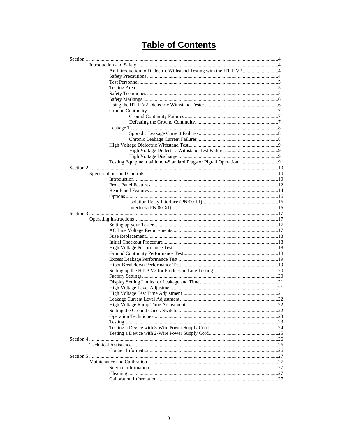# **Table of Contents**

| An Introduction to Dielectric Withstand Testing with the HT-P V2 4 |  |
|--------------------------------------------------------------------|--|
|                                                                    |  |
|                                                                    |  |
|                                                                    |  |
|                                                                    |  |
|                                                                    |  |
|                                                                    |  |
|                                                                    |  |
|                                                                    |  |
|                                                                    |  |
|                                                                    |  |
|                                                                    |  |
|                                                                    |  |
|                                                                    |  |
|                                                                    |  |
|                                                                    |  |
|                                                                    |  |
|                                                                    |  |
|                                                                    |  |
|                                                                    |  |
|                                                                    |  |
|                                                                    |  |
|                                                                    |  |
|                                                                    |  |
|                                                                    |  |
|                                                                    |  |
|                                                                    |  |
|                                                                    |  |
|                                                                    |  |
|                                                                    |  |
|                                                                    |  |
|                                                                    |  |
|                                                                    |  |
|                                                                    |  |
|                                                                    |  |
|                                                                    |  |
|                                                                    |  |
|                                                                    |  |
|                                                                    |  |
|                                                                    |  |
|                                                                    |  |
|                                                                    |  |
|                                                                    |  |
|                                                                    |  |
|                                                                    |  |
|                                                                    |  |
|                                                                    |  |
|                                                                    |  |
|                                                                    |  |
|                                                                    |  |
|                                                                    |  |
|                                                                    |  |
|                                                                    |  |
|                                                                    |  |
|                                                                    |  |
|                                                                    |  |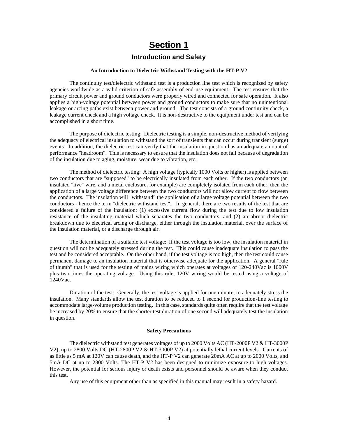## **Section 1**

## **Introduction and Safety**

#### **An Introduction to Dielectric Withstand Testing with the HT-P V2**

The continuity test/dielectric withstand test is a production line test which is recognized by safety agencies worldwide as a valid criterion of safe assembly of end-use equipment. The test ensures that the primary circuit power and ground conductors were properly wired and connected for safe operation. It also applies a high-voltage potential between power and ground conductors to make sure that no unintentional leakage or arcing paths exist between power and ground. The test consists of a ground continuity check, a leakage current check and a high voltage check. It is non-destructive to the equipment under test and can be accomplished in a short time.

The purpose of dielectric testing: Dielectric testing is a simple, non-destructive method of verifying the adequacy of electrical insulation to withstand the sort of transients that can occur during transient (surge) events. In addition, the dielectric test can verify that the insulation in question has an adequate amount of performance "headroom". This is necessary to ensure that the insulation does not fail because of degradation of the insulation due to aging, moisture, wear due to vibration, etc.

The method of dielectric testing: A high voltage (typically 1000 Volts or higher) is applied between two conductors that are "supposed" to be electrically insulated from each other. If the two conductors (an insulated "live" wire, and a metal enclosure, for example) are completely isolated from each other, then the application of a large voltage difference between the two conductors will not allow current to flow between the conductors. The insulation will "withstand" the application of a large voltage potential between the two conductors - hence the term "dielectric withstand test". In general, there are two results of the test that are considered a failure of the insulation: (1) excessive current flow during the test due to low insulation resistance of the insulating material which separates the two conductors, and (2) an abrupt dielectric breakdown due to electrical arcing or discharge, either through the insulation material, over the surface of the insulation material, or a discharge through air.

The determination of a suitable test voltage: If the test voltage is too low, the insulation material in question will not be adequately stressed during the test. This could cause inadequate insulation to pass the test and be considered acceptable. On the other hand, if the test voltage is too high, then the test could cause permanent damage to an insulation material that is otherwise adequate for the application. A general "rule of thumb" that is used for the testing of mains wiring which operates at voltages of 120-240Vac is 1000V plus two times the operating voltage. Using this rule, 120V wiring would be tested using a voltage of 1240Vac.

Duration of the test: Generally, the test voltage is applied for one minute, to adequately stress the insulation. Many standards allow the test duration to be reduced to 1 second for production-line testing to accommodate large-volume production testing. In this case, standards quite often require that the test voltage be increased by 20% to ensure that the shorter test duration of one second will adequately test the insulation in question.

#### **Safety Precautions**

The dielectric withstand test generates voltages of up to 2000 Volts AC (HT-2000P V2 & HT-3000P V2), up to 2800 Volts DC (HT-2800P V2 & HT-3000P V2) at potentially lethal current levels. Currents of as little as 5 mA at 120V can cause death, and the HT-P V2 can generate 20mA AC at up to 2000 Volts, and 5mA DC at up to 2800 Volts. The HT-P V2 has been designed to minimize exposure to high voltages. However, the potential for serious injury or death exists and personnel should be aware when they conduct this test.

Any use of this equipment other than as specified in this manual may result in a safety hazard.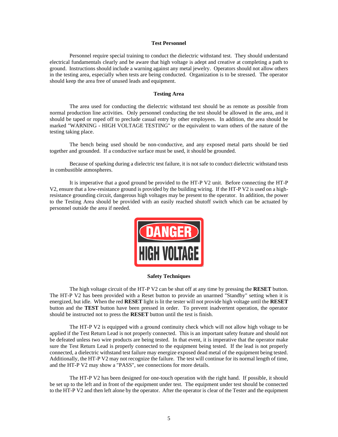#### **Test Personnel**

Personnel require special training to conduct the dielectric withstand test. They should understand electrical fundamentals clearly and be aware that high voltage is adept and creative at completing a path to ground. Instructions should include a warning against any metal jewelry. Operators should not allow others in the testing area, especially when tests are being conducted. Organization is to be stressed. The operator should keep the area free of unused leads and equipment.

#### **Testing Area**

The area used for conducting the dielectric withstand test should be as remote as possible from normal production line activities. Only personnel conducting the test should be allowed in the area, and it should be taped or roped off to preclude casual entry by other employees. In addition, the area should be marked "WARNING - HIGH VOLTAGE TESTING" or the equivalent to warn others of the nature of the testing taking place.

The bench being used should be non-conductive, and any exposed metal parts should be tied together and grounded. If a conductive surface must be used, it should be grounded.

Because of sparking during a dielectric test failure, it is not safe to conduct dielectric withstand tests in combustible atmospheres.

It is imperative that a good ground be provided to the HT-P V2 unit. Before connecting the HT-P V2, ensure that a low-resistance ground is provided by the building wiring. If the HT-P V2 is used on a highresistance grounding circuit, dangerous high voltages may be present to the operator. In addition, the power to the Testing Area should be provided with an easily reached shutoff switch which can be actuated by personnel outside the area if needed.



#### **Safety Techniques**

The high voltage circuit of the HT-P V2 can be shut off at any time by pressing the **RESET** button. The HT-P V2 has been provided with a Reset button to provide an unarmed "Standby" setting when it is energized, but idle. When the red **RESET** light is lit the tester will not provide high voltage until the **RESET** button and the **TEST** button have been pressed in order. To prevent inadvertent operation, the operator should be instructed not to press the **RESET** button until the test is finish.

The HT-P V2 is equipped with a ground continuity check which will not allow high voltage to be applied if the Test Return Lead is not properly connected. This is an important safety feature and should not be defeated unless two wire products are being tested. In that event, it is imperative that the operator make sure the Test Return Lead is properly connected to the equipment being tested. If the lead is not properly connected, a dielectric withstand test failure may energize exposed dead metal of the equipment being tested. Additionally, the HT-P V2 may not recognize the failure. The test will continue for its normal length of time, and the HT-P V2 may show a "PASS", see connections for more details.

The HT-P V2 has been designed for one-touch operation with the right hand. If possible, it should be set up to the left and in front of the equipment under test. The equipment under test should be connected to the HT-P V2 and then left alone by the operator. After the operator is clear of the Tester and the equipment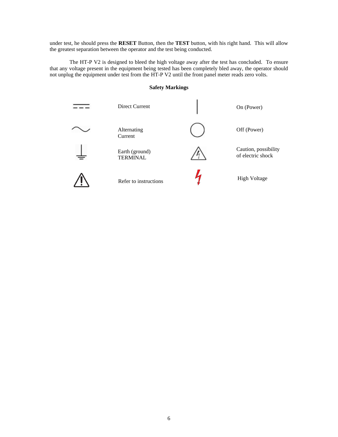under test, he should press the **RESET** Button, then the **TEST** button, with his right hand. This will allow the greatest separation between the operator and the test being conducted.

The HT-P V2 is designed to bleed the high voltage away after the test has concluded. To ensure that any voltage present in the equipment being tested has been completely bled away, the operator should not unplug the equipment under test from the HT-P V2 until the front panel meter reads zero volts.

#### **Safety Markings**

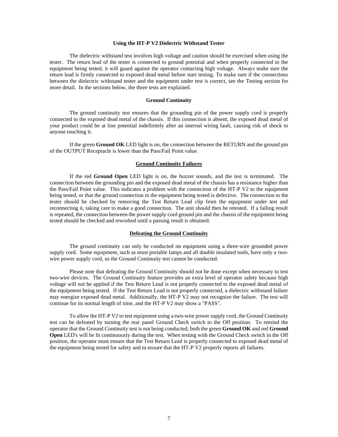#### **Using the HT-P V2 Dielectric Withstand Tester**

The dielectric withstand test involves high voltage and caution should be exercised when using the tester. The return lead of the tester is connected to ground potential and when properly connected to the equipment being tested, it will guard against the operator contacting high voltage. Always make sure the return lead is firmly connected to exposed dead metal before start testing. To make sure if the connections between the dielectric withstand tester and the equipment under test is correct, see the Testing section for more detail. In the sections below, the three tests are explained.

#### **Ground Continuity**

The ground continuity test ensures that the grounding pin of the power supply cord is properly connected to the exposed dead metal of the chassis. If this connection is absent, the exposed dead metal of your product could be at line potential indefinitely after an internal wiring fault, causing risk of shock to anyone touching it.

If the green **Ground OK** LED light is on, the connection between the RETURN and the ground pin of the OUTPUT Receptacle is lower than the Pass/Fail Point value.

#### **Ground Continuity Failures**

If the red **Ground Open** LED light is on, the buzzer sounds, and the test is terminated. The connection between the grounding pin and the exposed dead metal of the chassis has a resistance higher than the Pass/Fail Point value. This indicates a problem with the connection of the HT-P V2 to the equipment being tested, or that the ground connection in the equipment being tested is defective. The connection to the tester should be checked by removing the Test Return Lead clip from the equipment under test and reconnecting it, taking care to make a good connection. The unit should then be retested. If a failing result is repeated, the connection between the power supply cord ground pin and the chassis of the equipment being tested should be checked and reworked until a passing result is obtained.

#### **Defeating the Ground Continuity**

The ground continuity can only be conducted on equipment using a three-wire grounded power supply cord. Some equipment, such as most portable lamps and all double insulated tools, have only a twowire power supply cord, so the Ground Continuity test cannot be conducted.

Please note that defeating the Ground Continuity should not be done except when necessary to test two-wire devices. The Ground Continuity feature provides an extra level of operator safety because high voltage will not be applied if the Test Return Lead is not properly connected to the exposed dead metal of the equipment being tested. If the Test Return Lead is not properly connected, a dielectric withstand failure may energize exposed dead metal. Additionally, the HT-P V2 may not recognize the failure. The test will continue for its normal length of time, and the HT-P V2 may show a "PASS".

To allow the HT-P V2 to test equipment using a two-wire power supply cord, the Ground Continuity test can be defeated by turning the rear panel Ground Check switch to the Off position. To remind the operator that the Ground Continuity test is not being conducted, both the green **Ground OK** and red **Ground Open** LED's will be lit continuously during the test. When testing with the Ground Check switch in the Off position, the operator must ensure that the Test Return Lead is properly connected to exposed dead metal of the equipment being tested for safety and to ensure that the HT-P V2 properly reports all failures.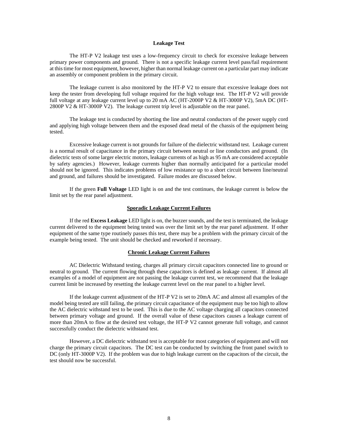#### **Leakage Test**

The HT-P V2 leakage test uses a low-frequency circuit to check for excessive leakage between primary power components and ground. There is not a specific leakage current level pass/fail requirement at this time for most equipment, however, higher than normal leakage current on a particular part may indicate an assembly or component problem in the primary circuit.

The leakage current is also monitored by the HT-P V2 to ensure that excessive leakage does not keep the tester from developing full voltage required for the high voltage test. The HT-P V2 will provide full voltage at any leakage current level up to 20 mA AC (HT-2000P V2 & HT-3000P V2), 5mA DC (HT-2800P V2 & HT-3000P V2). The leakage current trip level is adjustable on the rear panel.

The leakage test is conducted by shorting the line and neutral conductors of the power supply cord and applying high voltage between them and the exposed dead metal of the chassis of the equipment being tested.

Excessive leakage current is not grounds for failure of the dielectric withstand test. Leakage current is a normal result of capacitance in the primary circuit between neutral or line conductors and ground. (In dielectric tests of some larger electric motors, leakage currents of as high as 95 mA are considered acceptable by safety agencies.) However, leakage currents higher than normally anticipated for a particular model should not be ignored. This indicates problems of low resistance up to a short circuit between line/neutral and ground, and failures should be investigated. Failure modes are discussed below.

If the green **Full Voltage** LED light is on and the test continues, the leakage current is below the limit set by the rear panel adjustment.

#### **Sporadic Leakage Current Failures**

If the red **Excess Leakage** LED light is on, the buzzer sounds, and the test is terminated, the leakage current delivered to the equipment being tested was over the limit set by the rear panel adjustment. If other equipment of the same type routinely passes this test, there may be a problem with the primary circuit of the example being tested. The unit should be checked and reworked if necessary.

#### **Chronic Leakage Current Failures**

AC Dielectric Withstand testing, charges all primary circuit capacitors connected line to ground or neutral to ground. The current flowing through these capacitors is defined as leakage current. If almost all examples of a model of equipment are not passing the leakage current test, we recommend that the leakage current limit be increased by resetting the leakage current level on the rear panel to a higher level.

If the leakage current adjustment of the HT-P V2 is set to 20mA AC and almost all examples of the model being tested are still failing, the primary circuit capacitance of the equipment may be too high to allow the AC dielectric withstand test to be used. This is due to the AC voltage charging all capacitors connected between primary voltage and ground. If the overall value of these capacitors causes a leakage current of more than 20mA to flow at the desired test voltage, the HT-P V2 cannot generate full voltage, and cannot successfully conduct the dielectric withstand test.

However, a DC dielectric withstand test is acceptable for most categories of equipment and will not charge the primary circuit capacitors. The DC test can be conducted by switching the front panel switch to DC (only HT-3000P V2). If the problem was due to high leakage current on the capacitors of the circuit, the test should now be successful.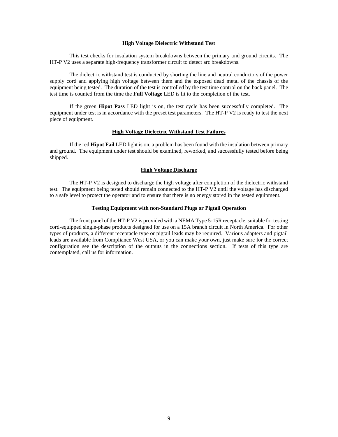#### **High Voltage Dielectric Withstand Test**

This test checks for insulation system breakdowns between the primary and ground circuits. The HT-P V2 uses a separate high-frequency transformer circuit to detect arc breakdowns.

The dielectric withstand test is conducted by shorting the line and neutral conductors of the power supply cord and applying high voltage between them and the exposed dead metal of the chassis of the equipment being tested. The duration of the test is controlled by the test time control on the back panel. The test time is counted from the time the **Full Voltage** LED is lit to the completion of the test.

If the green **Hipot Pass** LED light is on, the test cycle has been successfully completed. The equipment under test is in accordance with the preset test parameters. The HT-P V2 is ready to test the next piece of equipment.

#### **High Voltage Dielectric Withstand Test Failures**

If the red **Hipot Fail** LED light is on, a problem has been found with the insulation between primary and ground. The equipment under test should be examined, reworked, and successfully tested before being shipped.

#### **High Voltage Discharge**

The HT-P V2 is designed to discharge the high voltage after completion of the dielectric withstand test. The equipment being tested should remain connected to the HT-P V2 until the voltage has discharged to a safe level to protect the operator and to ensure that there is no energy stored in the tested equipment.

#### **Testing Equipment with non-Standard Plugs or Pigtail Operation**

The front panel of the HT-P V2 is provided with a NEMA Type 5-15R receptacle, suitable for testing cord-equipped single-phase products designed for use on a 15A branch circuit in North America. For other types of products, a different receptacle type or pigtail leads may be required. Various adapters and pigtail leads are available from Compliance West USA, or you can make your own, just make sure for the correct configuration see the description of the outputs in the connections section. If tests of this type are contemplated, call us for information.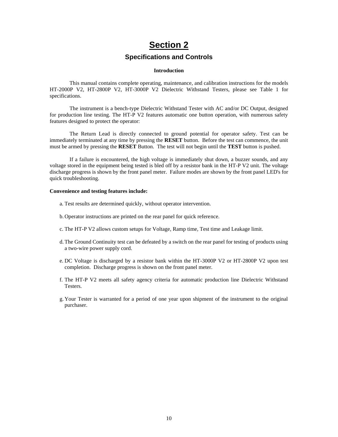# **Section 2**

### **Specifications and Controls**

#### **Introduction**

This manual contains complete operating, maintenance, and calibration instructions for the models HT-2000P V2, HT-2800P V2, HT-3000P V2 Dielectric Withstand Testers, please see [Table 1](#page-10-0) for specifications.

The instrument is a bench-type Dielectric Withstand Tester with AC and/or DC Output, designed for production line testing. The HT-P V2 features automatic one button operation, with numerous safety features designed to protect the operator:

The Return Lead is directly connected to ground potential for operator safety. Test can be immediately terminated at any time by pressing the **RESET** button. Before the test can commence, the unit must be armed by pressing the **RESET** Button. The test will not begin until the **TEST** button is pushed.

If a failure is encountered, the high voltage is immediately shut down, a buzzer sounds, and any voltage stored in the equipment being tested is bled off by a resistor bank in the HT-P V2 unit. The voltage discharge progress is shown by the front panel meter. Failure modes are shown by the front panel LED's for quick troubleshooting.

#### **Convenience and testing features include:**

- a. Test results are determined quickly, without operator intervention.
- b. Operator instructions are printed on the rear panel for quick reference.
- c. The HT-P V2 allows custom setups for Voltage, Ramp time, Test time and Leakage limit.
- d.The Ground Continuity test can be defeated by a switch on the rear panel for testing of products using a two-wire power supply cord.
- e. DC Voltage is discharged by a resistor bank within the HT-3000P V2 or HT-2800P V2 upon test completion. Discharge progress is shown on the front panel meter.
- f. The HT-P V2 meets all safety agency criteria for automatic production line Dielectric Withstand Testers.
- g. Your Tester is warranted for a period of one year upon shipment of the instrument to the original purchaser.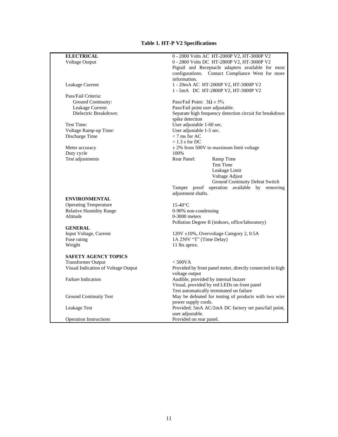## **Table 1. HT-P V2 Specifications**

<span id="page-10-0"></span>

| <b>ELECTRICAL</b>                          | 0 - 2000 Volts AC HT-2000P V2, HT-3000P V2                          |
|--------------------------------------------|---------------------------------------------------------------------|
| Voltage Output                             | 0 - 2800 Volts DC HT-2800P V2, HT-3000P V2                          |
|                                            | Pigtail and Receptacle adapters available for most                  |
|                                            | configurations. Contact Compliance West for more                    |
|                                            | information.                                                        |
| Leakage Current                            | 1 - 20mA AC HT-2000P V2, HT-3000P V2                                |
|                                            | 1 - 5mA DC HT-2800P V2, HT-3000P V2                                 |
| Pass/Fail Criteria:                        |                                                                     |
| Ground Continuity:                         | Pass/Fail Point: $3\Omega \pm 5\%$                                  |
| Leakage Current:                           | Pass/Fail point user adjustable.                                    |
| Dielectric Breakdown:                      | Separate high frequency detection circuit for breakdown             |
|                                            | spike detection                                                     |
| Test Time:                                 | User adjustable 1-60 sec.                                           |
| Voltage Ramp-up Time:                      | User adjustable 1-5 sec.                                            |
| Discharge Time                             | $<$ 7 ms for AC                                                     |
|                                            | $< 1.3$ s for DC                                                    |
| Meter accuracy                             | $\pm$ 2% from 500V to maximum limit voltage                         |
| Duty cycle                                 | 100%                                                                |
| Test adjustments                           | Rear Panel:<br>Ramp Time                                            |
|                                            | Test Time                                                           |
|                                            | Leakage Limit                                                       |
|                                            | Voltage Adjust                                                      |
|                                            | <b>Ground Continuity Defeat Switch</b>                              |
|                                            | Tamper proof operation available by removing                        |
|                                            | adjustment shafts.                                                  |
| <b>ENVIRONMENTAL</b>                       |                                                                     |
| <b>Operating Temperature</b>               | $15-40$ °C                                                          |
| <b>Relative Humidity Range</b><br>Altitude | 0-90% non-condensing                                                |
|                                            | $0-3000$ meters<br>Pollution Degree II (indoors, office/laboratory) |
| <b>GENERAL</b>                             |                                                                     |
| Input Voltage, Current                     | 120V ±10%, Overvoltage Category 2, 0.5A                             |
| Fuse rating                                | 1A 250V "T" (Time Delay)                                            |
| Weight                                     | 11 lbs aprox.                                                       |
|                                            |                                                                     |
| <b>SAFETY AGENCY TOPICS</b>                |                                                                     |
| <b>Transformer Output</b>                  | < 500VA                                                             |
| Visual Indication of Voltage Output        | Provided by front panel meter, directly connected to high           |
|                                            | voltage output                                                      |
| <b>Failure Indication</b>                  | Audible, provided by internal buzzer                                |
|                                            | Visual, provided by red LEDs on front panel                         |
|                                            | Test automatically terminated on failure                            |
| <b>Ground Continuity Test</b>              | May be defeated for testing of products with two wire               |
|                                            | power supply cords.                                                 |
| Leakage Test                               | Provided; 5mA AC/2mA DC factory set pass/fail point,                |
|                                            | user adjustable.                                                    |
| <b>Operation Instructions</b>              | Provided on rear panel.                                             |
|                                            |                                                                     |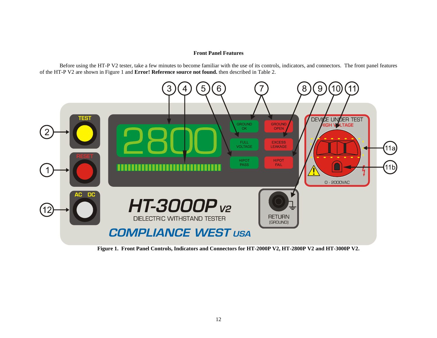#### **Front Panel Features**

Before using the HT-P V2 tester, take a few minutes to become familiar with the use of its controls, indicators, and connectors. The front panel features of the HT-P V2 are shown i[n Figure 1](#page-11-0) and **Error! Reference source not found.** then described in [Table 2.](#page-12-0)



<span id="page-11-0"></span>**Figure 1. Front Panel Controls, Indicators and Connectors for HT-2000P V2, HT-2800P V2 and HT-3000P V2.**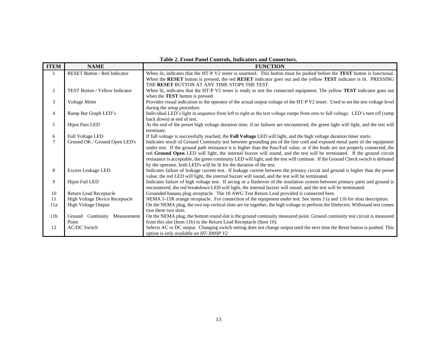<span id="page-12-0"></span>

| <b>ITEM</b>     | <b>NAME</b>                         | 1 aprè 2, 1 i vill i anci Controls, murators and Connectors<br><b>FUNCTION</b>                                                     |
|-----------------|-------------------------------------|------------------------------------------------------------------------------------------------------------------------------------|
|                 | <b>RESET Button / Red Indicator</b> |                                                                                                                                    |
|                 |                                     | When lit, indicates that the HT-P V2 tester is unarmed. This button must be pushed before the TEST button is functional.           |
|                 |                                     | When the RESET button is pressed, the red RESET indicator goes out and the yellow TEST indicator is lit. PRESSING                  |
|                 |                                     | THE RESET BUTTON AT ANY TIME STOPS THE TEST.                                                                                       |
| 2               | TEST Button / Yellow Indicator      | When lit, indicates that the HT-P V2 tester is ready to test the connected equipment. The yellow TEST indicator goes out           |
|                 |                                     | when the <b>TEST</b> button is pressed.                                                                                            |
| 3               | Voltage Meter                       | Provides visual indication to the operator of the actual output voltage of the HT-P V2 tester. Used to set the test voltage level  |
|                 |                                     | during the setup procedure.                                                                                                        |
| $\overline{4}$  | Ramp Bar Graph LED's                | Individual LED's light in sequence from left to right as the test voltage ramps from zero to full voltage. LED's turn off (ramp    |
|                 |                                     | back down) at end of test.                                                                                                         |
| 5               | <b>Hipot Pass LED</b>               | At the end of the preset high voltage duration time, if no failures are encountered, the green light will light, and the test will |
|                 |                                     | terminate.                                                                                                                         |
| 6               | <b>Full Voltage LED</b>             | If full voltage is successfully reached, the Full Voltage LED will light, and the high voltage duration timer starts.              |
| $\tau$          | Ground OK / Ground Open LED's       | Indicates result of Ground Continuity test between grounding pin of the line cord and exposed metal parts of the equipment         |
|                 |                                     | under test. If the ground path resistance it is higher than the Pass/Fail value, or if the leads are not properly connected, the   |
|                 |                                     | red Ground Open LED will light, the internal buzzer will sound, and the test will be terminated. If the ground circuit             |
|                 |                                     | resistance is acceptable, the green continuity LED will light, and the test will continue. If the Ground Check switch is defeated  |
|                 |                                     | by the operator, both LED's will be lit for the duration of the test.                                                              |
| 8               | <b>Excess Leakage LED</b>           | Indicates failure of leakage current test. If leakage current between the primary circuit and ground is higher than the preset     |
|                 |                                     | value, the red LED will light, the internal buzzer will sound, and the test will be terminated.                                    |
| 9               | <b>Hipot Fail LED</b>               | Indicates failure of high voltage test. If arcing or a flashover of the insulation system between primary parts and ground is      |
|                 |                                     | encountered, the red breakdown LED will light, the internal buzzer will sound, and the test will be terminated.                    |
| 10              | Return Lead Receptacle              | Grounded banana plug receptacle. The 18 AWG Test Return Lead provided is connected here.                                           |
| 11              | High Voltage Device Receptacle      | NEMA 5-15R orange receptacle. For connection of the equipment under test. See items 11a and 11b for slots description.             |
| 11a             | High Voltage Output                 | On the NEMA plug, the two top vertical slots are tie together, the high voltage to perform the Dielectric Withstand test comes     |
|                 |                                     | true these two slots.                                                                                                              |
| 11 <sub>b</sub> | Continuity Measurement<br>Ground    | On the NEMA plug, the bottom round slot is the ground continuity measured point. Ground continuity test circuit is measured        |
|                 | Point                               | from this slot (Item 11b) to the Return Lead Receptacle (Item 10).                                                                 |
| 12              | <b>AC/DC Switch</b>                 | Selects AC or DC output. Changing switch setting does not change output until the next time the Reset button is pushed. This       |
|                 |                                     | option is only available on HT-3000P V2                                                                                            |

#### **Table 2. Front Panel Controls, Indicators and Connectors.**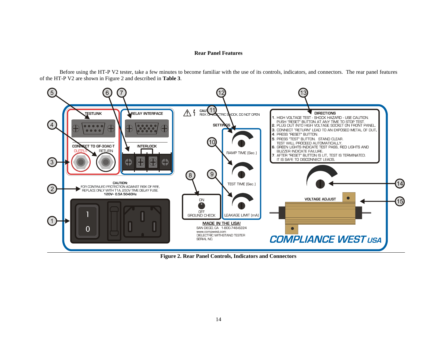#### **Rear Panel Features**

Before using the HT-P V2 tester, take a few minutes to become familiar with the use of its controls, indicators, and connectors. The rear panel features of the HT-P V2 are shown i[n Figure 2](#page-13-0) and described in **[Table 3](#page-14-0)**.



<span id="page-13-0"></span>**Figure 2. Rear Panel Controls, Indicators and Connectors**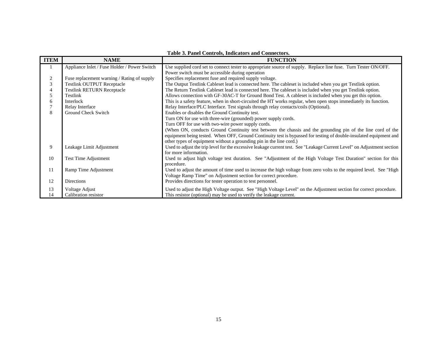<span id="page-14-0"></span>

| <b>ITEM</b> | abic or I and Controls, marcators and Connectors<br><b>FUNCTION</b><br><b>NAME</b> |                                                                                                                         |
|-------------|------------------------------------------------------------------------------------|-------------------------------------------------------------------------------------------------------------------------|
|             |                                                                                    |                                                                                                                         |
|             | Appliance Inlet / Fuse Holder / Power Switch                                       | Use supplied cord set to connect tester to appropriate source of supply. Replace line fuse. Turn Tester ON/OFF.         |
|             |                                                                                    | Power switch must be accessible during operation                                                                        |
| 2           | Fuse replacement warning / Rating of supply                                        | Specifies replacement fuse and required supply voltage.                                                                 |
| 3           | <b>Testlink OUTPUT Receptacle</b>                                                  | The Output Testlink Cableset lead is connected here. The cableset is included when you get Testlink option.             |
|             | <b>Testlink RETURN Receptacle</b>                                                  | The Return Testlink Cableset lead is connected here. The cableset is included when you get Testlink option.             |
| 5           | Testlink                                                                           | Allows connection with GF-30AC-T for Ground Bond Test. A cableset is included when you get this option.                 |
| 6           | Interlock                                                                          | This is a safety feature, when in short-circuited the HT works regular, when open stops immediately its function.       |
|             | Relay Interface                                                                    | Relay Interface/PLC Interface. Test signals through relay contacts/coils (Optional).                                    |
| 8           | Ground Check Switch                                                                | Enables or disables the Ground Continuity test.                                                                         |
|             |                                                                                    | Turn ON for use with three-wire (grounded) power supply cords.                                                          |
|             |                                                                                    | Turn OFF for use with two-wire power supply cords.                                                                      |
|             |                                                                                    | (When ON, conducts Ground Continuity test between the chassis and the grounding pin of the line cord of the             |
|             |                                                                                    | equipment being tested. When OFF, Ground Continuity test is bypassed for testing of double-insulated equipment and      |
|             |                                                                                    | other types of equipment without a grounding pin in the line cord.)                                                     |
| 9           | Leakage Limit Adjustment                                                           | Used to adjust the trip level for the excessive leakage current test. See "Leakage Current Level" on Adjustment section |
|             |                                                                                    | for more information.                                                                                                   |
| 10          | <b>Test Time Adjustment</b>                                                        | Used to adjust high voltage test duration. See "Adjustment of the High Voltage Test Duration" section for this          |
|             |                                                                                    | procedure.                                                                                                              |
| 11          | Ramp Time Adjustment                                                               | Used to adjust the amount of time used to increase the high voltage from zero volts to the required level. See "High    |
|             |                                                                                    | Voltage Ramp Time" on Adjustment section for correct procedure.                                                         |
| 12          | Directions                                                                         | Provides directions for tester operation to test personnel.                                                             |
| 13          | Voltage Adjust                                                                     | Used to adjust the High Voltage output. See "High Voltage Level" on the Adjustment section for correct procedure.       |
| 14          | Calibration resistor                                                               | This resistor (optional) may be used to verify the leakage current.                                                     |

#### **Table 3. Panel Controls, Indicators and Connectors.**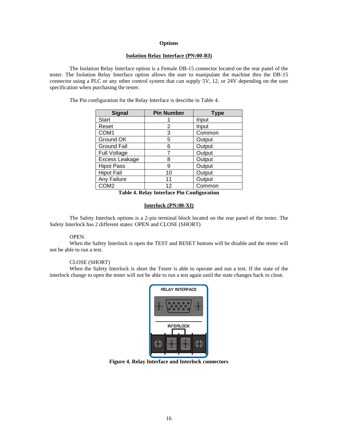#### **Options**

#### **Isolation Relay Interface (PN:00-RI)**

The Isolation Relay Interface option is a Female DB-15 connector located on the rear panel of the tester. The Isolation Relay Interface option allows the user to manipulate the machine thru the DB-15 connector using a PLC or any other control system that can supply 5V, 12, or 24V depending on the user specification when purchasing the tester.

| <b>Signal</b>       | <b>Pin Number</b> | Type   |
|---------------------|-------------------|--------|
| <b>Start</b>        |                   | Input  |
| Reset               | 2                 | Input  |
| COM <sub>1</sub>    | 3                 | Common |
| Ground OK           | 5                 | Output |
| <b>Ground Fail</b>  | 6                 | Output |
| <b>Full Voltage</b> |                   | Output |
| Excess Leakage      | 8                 | Output |
| <b>Hipot Pass</b>   | 9                 | Output |
| <b>Hipot Fail</b>   | 10                | Output |
| Any Failure         | 11                | Output |
| COM2                | 12                | Common |

The Pin configuration for the Relay Interface is describe in Table 4.

**Table 4. Relay Interface Pin Configuration**

#### **Interlock (PN:00-XI)**

The Safety Interlock options is a 2-pin terminal block located on the rear panel of the tester. The Safety Interlock has 2 different states: OPEN and CLOSE (SHORT)

#### OPEN.

When the Safety Interlock is open the TEST and RESET buttons will be disable and the tester will not be able to run a test.

#### CLOSE (SHORT)

When the Safety Interlock is short the Tester is able to operate and run a test. If the state of the interlock change to open the tester will not be able to run a test again until the state changes back to close.



**Figure 4. Relay Interface and Interlock connectors**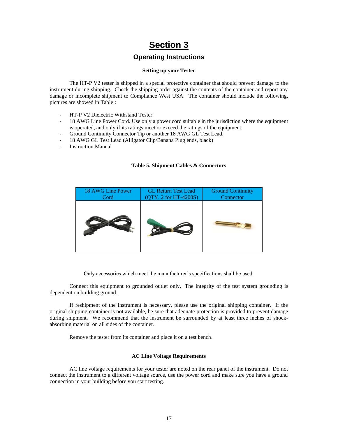# **Section 3**

## **Operating Instructions**

#### **Setting up your Tester**

The HT-P V2 tester is shipped in a special protective container that should prevent damage to the instrument during shipping. Check the shipping order against the contents of the container and report any damage or incomplete shipment to Compliance West USA. The container should include the following, pictures are showed in [Table :](#page-16-0)

- HT-P V2 Dielectric Withstand Tester
- 18 AWG Line Power Cord. Use only a power cord suitable in the jurisdiction where the equipment is operated, and only if its ratings meet or exceed the ratings of the equipment.
- Ground Continuity Connector Tip or another 18 AWG GL Test Lead.
- 18 AWG GL Test Lead (Alligator Clip/Banana Plug ends, black)
- <span id="page-16-0"></span>Instruction Manual

#### **Table 5. Shipment Cables & Connectors**



Only accessories which meet the manufacturer's specifications shall be used.

Connect this equipment to grounded outlet only. The integrity of the test system grounding is dependent on building ground.

If reshipment of the instrument is necessary, please use the original shipping container. If the original shipping container is not available, be sure that adequate protection is provided to prevent damage during shipment. We recommend that the instrument be surrounded by at least three inches of shockabsorbing material on all sides of the container.

Remove the tester from its container and place it on a test bench.

#### **AC Line Voltage Requirements**

AC line voltage requirements for your tester are noted on the rear panel of the instrument. Do not connect the instrument to a different voltage source, use the power cord and make sure you have a ground connection in your building before you start testing.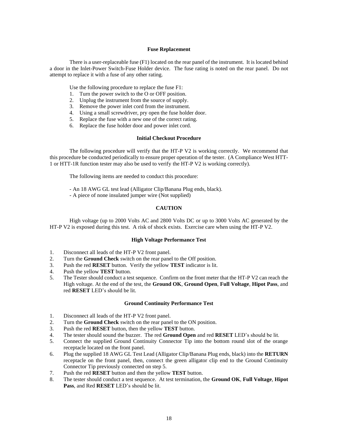#### **Fuse Replacement**

There is a user-replaceable fuse (F1) located on the rear panel of the instrument. It is located behind a door in the Inlet-Power Switch-Fuse Holder device. The fuse rating is noted on the rear panel. Do not attempt to replace it with a fuse of any other rating.

Use the following procedure to replace the fuse F1:

- 1. Turn the power switch to the O or OFF position.
- 2. Unplug the instrument from the source of supply.
- 3. Remove the power inlet cord from the instrument.
- 4. Using a small screwdriver, pry open the fuse holder door.
- 5. Replace the fuse with a new one of the correct rating.
- 6. Replace the fuse holder door and power inlet cord.

#### **Initial Checkout Procedure**

The following procedure will verify that the HT-P V2 is working correctly. We recommend that this procedure be conducted periodically to ensure proper operation of the tester. (A Compliance West HTT-1 or HTT-1R function tester may also be used to verify the HT-P V2 is working correctly).

The following items are needed to conduct this procedure:

- An 18 AWG GL test lead (Alligator Clip/Banana Plug ends, black).

- A piece of none insulated jumper wire (Not supplied)

#### **CAUTION**

High voltage (up to 2000 Volts AC and 2800 Volts DC or up to 3000 Volts AC generated by the HT-P V2 is exposed during this test. A risk of shock exists. Exercise care when using the HT-P V2.

#### **High Voltage Performance Test**

- 1. Disconnect all leads of the HT-P V2 front panel.
- 2. Turn the **Ground Check** switch on the rear panel to the Off position.
- 3. Push the red **RESET** button. Verify the yellow **TEST** indicator is lit.
- 4. Push the yellow **TEST** button.
- 5. The Tester should conduct a test sequence. Confirm on the front meter that the HT-P V2 can reach the High voltage. At the end of the test, the **Ground OK**, **Ground Open**, **Full Voltage**, **Hipot Pass**, and red **RESET** LED's should be lit.

#### **Ground Continuity Performance Test**

- 1. Disconnect all leads of the HT-P V2 front panel.
- 2. Turn the **Ground Check** switch on the rear panel to the ON position.
- 3. Push the red **RESET** button, then the yellow **TEST** button.
- 4. The tester should sound the buzzer. The red **Ground Open** and red **RESET** LED's should be lit.
- 5. Connect the supplied Ground Continuity Connector Tip into the bottom round slot of the orange receptacle located on the front panel.
- 6. Plug the supplied 18 AWG GL Test Lead (Alligator Clip/Banana Plug ends, black) into the **RETURN** receptacle on the front panel, then, connect the green alligator clip end to the Ground Continuity Connector Tip previously connected on step 5.
- 7. Push the red **RESET** button and then the yellow **TEST** button.
- 8. The tester should conduct a test sequence. At test termination, the **Ground OK**, **Full Voltage**, **Hipot Pass**, and Red **RESET** LED's should be lit.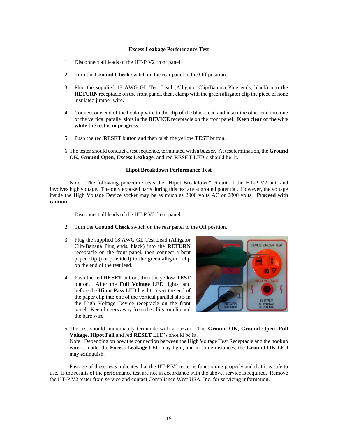#### **Excess Leakage Performance Test**

- 1. Disconnect all leads of the HT-P V2 front panel.
- 2. Turn the **Ground Check** switch on the rear panel to the Off position.
- 3. Plug the supplied 18 AWG GL Test Lead (Alligator Clip/Banana Plug ends, black) into the **RETURN** receptacle on the front panel, then, clamp with the green alligator clip the piece of none insulated jumper wire.
- 4. Connect one end of the hookup wire to the clip of the black lead and insert the other end into one of the vertical parallel slots in the **DEVICE** receptacle on the front panel. **Keep clear of the wire while the test is in progress**.
- 5. Push the red **RESET** button and then push the yellow **TEST** button.
- 6.The tester should conduct a test sequence, terminated with a buzzer. At test termination, the **Ground OK**, **Ground Open**, **Excess Leakage**, and red **RESET** LED's should be lit.

#### **Hipot Breakdown Performance Test**

Note: The following procedure tests the "Hipot Breakdown" circuit of the HT-P V2 unit and involves high voltage. The only exposed parts during this test are at ground potential. However, the voltage inside the High Voltage Device socket may be as much as 2000 volts AC or 2800 volts. **Proceed with caution**.

- 1. Disconnect all leads of the HT-P V2 front panel.
- 2. Turn the **Ground Check** switch on the rear panel to the Off position.
- 3. Plug the supplied 18 AWG GL Test Lead (Alligator Clip/Banana Plug ends, black) into the **RETURN** receptacle on the front panel, then connect a bent paper clip (not provided) to the green alligator clip on the end of the test lead.
- 4. Push the red **RESET** button, then the yellow **TEST** button. After the **Full Voltage** LED lights, and before the **Hipot Pass** LED has lit, insert the end of the paper clip into one of the vertical parallel slots in the High Voltage Device receptacle on the front panel. Keep fingers away from the alligator clip and the bare wire.



5.The test should immediately terminate with a buzzer. The **Ground OK**, **Ground Open**, **Full Voltage**, **Hipot Fail** and red **RESET** LED's should be lit.

Note: Depending on how the connection between the High Voltage Test Receptacle and the hookup wire is made, the **Excess Leakage** LED may light, and in some instances, the **Ground OK** LED may extinguish.

Passage of these tests indicates that the HT-P V2 tester is functioning properly and that it is safe to use. If the results of the performance test are not in accordance with the above, service is required. Remove the HT-P V2 tester from service and contact Compliance West USA, Inc. for servicing information.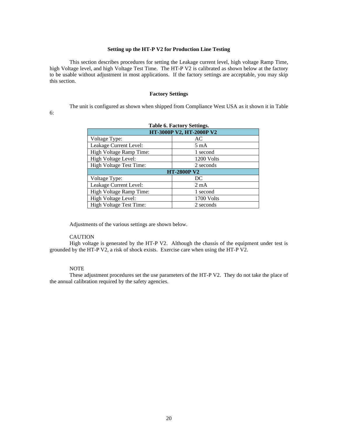#### **Setting up the HT-P V2 for Production Line Testing**

This section describes procedures for setting the Leakage current level, high voltage Ramp Time, high Voltage level, and high Voltage Test Time. The HT-P V2 is calibrated as shown below at the factory to be usable without adjustment in most applications. If the factory settings are acceptable, you may skip this section.

#### **Factory Settings**

The unit is configured as shown when shipped from Compliance West USA as it shown it in [Table](#page-19-0) 

<span id="page-19-0"></span>6:

| <b>Table 6. Factory Settings.</b> |                |  |  |  |
|-----------------------------------|----------------|--|--|--|
| HT-3000P V2, HT-2000P V2          |                |  |  |  |
| Voltage Type:                     | AC             |  |  |  |
| Leakage Current Level:            | 5 mA           |  |  |  |
| High Voltage Ramp Time:           | 1 second       |  |  |  |
| High Voltage Level:               | 1200 Volts     |  |  |  |
| High Voltage Test Time:           | 2 seconds      |  |  |  |
| <b>HT-2800P V2</b>                |                |  |  |  |
| Voltage Type:                     | DC             |  |  |  |
| Leakage Current Level:            | $2 \text{ mA}$ |  |  |  |
| High Voltage Ramp Time:           | 1 second       |  |  |  |
| High Voltage Level:               | 1700 Volts     |  |  |  |
| High Voltage Test Time:           | 2 seconds      |  |  |  |
|                                   |                |  |  |  |

Adjustments of the various settings are shown below.

#### CAUTION

High voltage is generated by the HT-P V2. Although the chassis of the equipment under test is grounded by the HT-P V2, a risk of shock exists. Exercise care when using the HT-P V2.

#### NOTE

These adjustment procedures set the use parameters of the HT-P V2. They do not take the place of the annual calibration required by the safety agencies.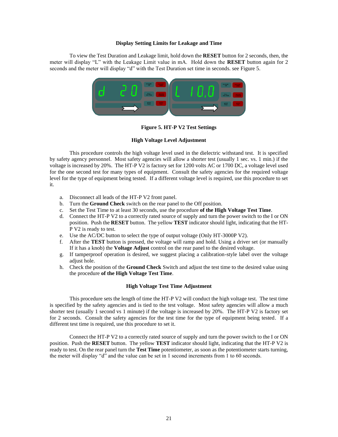#### **Display Setting Limits for Leakage and Time**

To view the Test Duration and Leakage limit, hold down the **RESET** button for 2 seconds, then, the meter will display "L" with the Leakage Limit value in mA. Hold down the **RESET** button again for 2 seconds and the meter will display "d" with the Test Duration set time in seconds. see [Figure 5](#page-20-0).



**Figure 5. HT-P V2 Test Settings** 

#### **High Voltage Level Adjustment**

<span id="page-20-0"></span>This procedure controls the high voltage level used in the dielectric withstand test. It is specified by safety agency personnel. Most safety agencies will allow a shorter test (usually 1 sec. vs. 1 min.) if the voltage is increased by 20%. The HT-P V2 is factory set for 1200 volts AC or 1700 DC, a voltage level used for the one second test for many types of equipment. Consult the safety agencies for the required voltage level for the type of equipment being tested. If a different voltage level is required, use this procedure to set it.

- a. Disconnect all leads of the HT-P V2 front panel.
- b. Turn the **Ground Check** switch on the rear panel to the Off position.
- c. Set the Test Time to at least 30 seconds, use the procedure **of the High Voltage Test Time**.
- d. Connect the HT-P V2 to a correctly rated source of supply and turn the power switch to the I or ON position. Push the **RESET** button. The yellow **TEST** indicator should light, indicating that the HT-P V2 is ready to test.
- e. Use the AC/DC button to select the type of output voltage (Only HT-3000P V2).
- f. After the **TEST** button is pressed, the voltage will ramp and hold. Using a driver set (or manually If it has a knob) the **Voltage Adjust** control on the rear panel to the desired voltage.
- g. If tamperproof operation is desired, we suggest placing a calibration-style label over the voltage adjust hole.
- h. Check the position of the **Ground Check** Switch and adjust the test time to the desired value using the procedure **of the High Voltage Test Time**.

#### **High Voltage Test Time Adjustment**

This procedure sets the length of time the HT-P V2 will conduct the high voltage test. The test time is specified by the safety agencies and is tied to the test voltage. Most safety agencies will allow a much shorter test (usually 1 second vs 1 minute) if the voltage is increased by 20%. The HT-P V2 is factory set for 2 seconds. Consult the safety agencies for the test time for the type of equipment being tested. If a different test time is required, use this procedure to set it.

Connect the HT-P V2 to a correctly rated source of supply and turn the power switch to the I or ON position. Push the **RESET** button. The yellow **TEST** indicator should light, indicating that the HT-P V2 is ready to test. On the rear panel turn the **Test Time** potentiometer, as soon as the potentiometer starts turning, the meter will display "d" and the value can be set in 1 second increments from 1 to 60 seconds.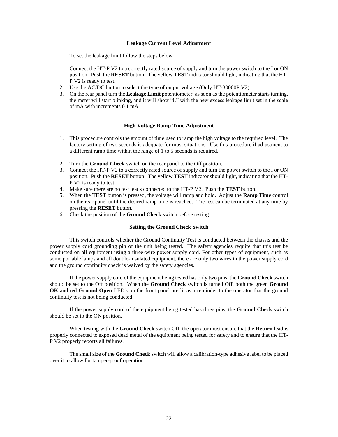#### **Leakage Current Level Adjustment**

To set the leakage limit follow the steps below:

- 1. Connect the HT-P V2 to a correctly rated source of supply and turn the power switch to the I or ON position. Push the **RESET** button. The yellow **TEST** indicator should light, indicating that the HT-P V2 is ready to test.
- 2. Use the AC/DC button to select the type of output voltage (Only HT-30000P V2).
- 3. On the rear panel turn the **Leakage Limit** potentiometer, as soon as the potentiometer starts turning, the meter will start blinking, and it will show "L" with the new excess leakage limit set in the scale of mA with increments 0.1 mA.

#### **High Voltage Ramp Time Adjustment**

- 1. This procedure controls the amount of time used to ramp the high voltage to the required level. The factory setting of two seconds is adequate for most situations. Use this procedure if adjustment to a different ramp time within the range of 1 to 5 seconds is required.
- 2. Turn the **Ground Check** switch on the rear panel to the Off position.
- 3. Connect the HT-P V2 to a correctly rated source of supply and turn the power switch to the I or ON position. Push the **RESET** button. The yellow **TEST** indicator should light, indicating that the HT-P V2 is ready to test.
- 4. Make sure there are no test leads connected to the HT-P V2. Push the **TEST** button.
- 5. When the **TEST** button is pressed, the voltage will ramp and hold. Adjust the **Ramp Time** control on the rear panel until the desired ramp time is reached. The test can be terminated at any time by pressing the **RESET** button.
- 6. Check the position of the **Ground Check** switch before testing.

#### **Setting the Ground Check Switch**

This switch controls whether the Ground Continuity Test is conducted between the chassis and the power supply cord grounding pin of the unit being tested. The safety agencies require that this test be conducted on all equipment using a three-wire power supply cord. For other types of equipment, such as some portable lamps and all double-insulated equipment, there are only two wires in the power supply cord and the ground continuity check is waived by the safety agencies.

If the power supply cord of the equipment being tested has only two pins, the **Ground Check** switch should be set to the Off position. When the **Ground Check** switch is turned Off, both the green **Ground OK** and red **Ground Open** LED's on the front panel are lit as a reminder to the operator that the ground continuity test is not being conducted.

If the power supply cord of the equipment being tested has three pins, the **Ground Check** switch should be set to the ON position.

When testing with the **Ground Check** switch Off, the operator must ensure that the **Return** lead is properly connected to exposed dead metal of the equipment being tested for safety and to ensure that the HT-P V2 properly reports all failures.

The small size of the **Ground Check** switch will allow a calibration-type adhesive label to be placed over it to allow for tamper-proof operation.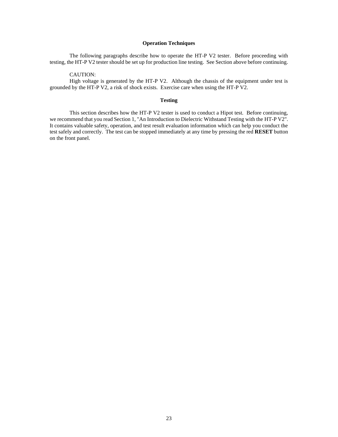#### **Operation Techniques**

The following paragraphs describe how to operate the HT-P V2 tester. Before proceeding with testing, the HT-P V2 tester should be set up for production line testing. See Section above before continuing.

CAUTION:

High voltage is generated by the HT-P V2. Although the chassis of the equipment under test is grounded by the HT-P V2, a risk of shock exists. Exercise care when using the HT-P V2.

#### **Testing**

This section describes how the HT-P V2 tester is used to conduct a Hipot test. Before continuing, we recommend that you read Section 1, "An Introduction to Dielectric Withstand Testing with the HT-P V2". It contains valuable safety, operation, and test result evaluation information which can help you conduct the test safely and correctly. The test can be stopped immediately at any time by pressing the red **RESET** button on the front panel.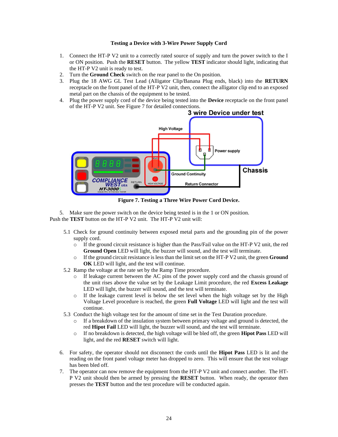#### **Testing a Device with 3-Wire Power Supply Cord**

- 1. Connect the HT-P V2 unit to a correctly rated source of supply and turn the power switch to the I or ON position. Push the **RESET** button. The yellow **TEST** indicator should light, indicating that the HT-P V2 unit is ready to test.
- 2. Turn the **Ground Check** switch on the rear panel to the On position.
- 3. Plug the 18 AWG GL Test Lead (Alligator Clip/Banana Plug ends, black) into the **RETURN** receptacle on the front panel of the HT-P V2 unit, then, connect the alligator clip end to an exposed metal part on the chassis of the equipment to be tested.
- 4. Plug the power supply cord of the device being tested into the **Device** receptacle on the front panel of the HT-P V2 unit. Se[e Figure 7](#page-23-0) for detailed connections.



**Figure 7. Testing a Three Wire Power Cord Device.**

<span id="page-23-0"></span>5. Make sure the power switch on the device being tested is in the 1 or ON position. Push the **TEST** button on the HT-P V2 unit. The HT-P V2 unit will:

- 5.1 Check for ground continuity between exposed metal parts and the grounding pin of the power supply cord.
	- o If the ground circuit resistance is higher than the Pass/Fail value on the HT-P V2 unit, the red **Ground Open** LED will light, the buzzer will sound, and the test will terminate.
	- o If the ground circuit resistance is less than the limit set on the HT-P V2 unit, the green **Ground OK** LED will light, and the test will continue.
- 5.2 Ramp the voltage at the rate set by the Ramp Time procedure.
	- o If leakage current between the AC pins of the power supply cord and the chassis ground of the unit rises above the value set by the Leakage Limit procedure, the red **Excess Leakage** LED will light, the buzzer will sound, and the test will terminate.
	- o If the leakage current level is below the set level when the high voltage set by the High Voltage Level procedure is reached, the green **Full Voltage** LED will light and the test will continue.
- 5.3 Conduct the high voltage test for the amount of time set in the Test Duration procedure.
	- $\circ$  If a breakdown of the insulation system between primary voltage and ground is detected, the red **Hipot Fail** LED will light, the buzzer will sound, and the test will terminate.
	- o If no breakdown is detected, the high voltage will be bled off, the green **Hipot Pass** LED will light, and the red **RESET** switch will light.
- 6. For safety, the operator should not disconnect the cords until the **Hipot Pass** LED is lit and the reading on the front panel voltage meter has dropped to zero. This will ensure that the test voltage has been bled off.
- 7. The operator can now remove the equipment from the HT-P V2 unit and connect another. The HT-P V2 unit should then be armed by pressing the **RESET** button. When ready, the operator then presses the **TEST** button and the test procedure will be conducted again.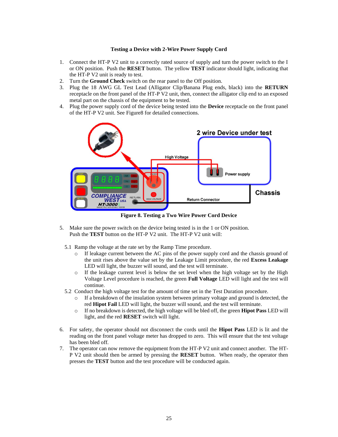#### **Testing a Device with 2-Wire Power Supply Cord**

- 1. Connect the HT-P V2 unit to a correctly rated source of supply and turn the power switch to the I or ON position. Push the **RESET** button. The yellow **TEST** indicator should light, indicating that the HT-P V2 unit is ready to test.
- 2. Turn the **Ground Check** switch on the rear panel to the Off position.
- 3. Plug the 18 AWG GL Test Lead (Alligator Clip/Banana Plug ends, black) into the **RETURN** receptacle on the front panel of the HT-P V2 unit, then, connect the alligator clip end to an exposed metal part on the chassis of the equipment to be tested.
- 4. Plug the power supply cord of the device being tested into the **Device** receptacle on the front panel of the HT-P V2 unit. Se[e Figure8](#page-24-0) for detailed connections.



**Figure 8. Testing a Two Wire Power Cord Device**

- <span id="page-24-0"></span>5. Make sure the power switch on the device being tested is in the 1 or ON position. Push the **TEST** button on the HT-P V2 unit. The HT-P V2 unit will:
	- 5.1 Ramp the voltage at the rate set by the Ramp Time procedure.
		- o If leakage current between the AC pins of the power supply cord and the chassis ground of the unit rises above the value set by the Leakage Limit procedure, the red **Excess Leakage** LED will light, the buzzer will sound, and the test will terminate.
		- $\circ$  If the leakage current level is below the set level when the high voltage set by the High Voltage Level procedure is reached, the green **Full Voltage** LED will light and the test will continue.
	- 5.2 Conduct the high voltage test for the amount of time set in the Test Duration procedure.
		- $\circ$  If a breakdown of the insulation system between primary voltage and ground is detected, the red **Hipot Fail** LED will light, the buzzer will sound, and the test will terminate.
		- o If no breakdown is detected, the high voltage will be bled off, the green **Hipot Pass** LED will light, and the red **RESET** switch will light.
- 6. For safety, the operator should not disconnect the cords until the **Hipot Pass** LED is lit and the reading on the front panel voltage meter has dropped to zero. This will ensure that the test voltage has been bled off.
- 7. The operator can now remove the equipment from the HT-P V2 unit and connect another. The HT-P V2 unit should then be armed by pressing the **RESET** button. When ready, the operator then presses the **TEST** button and the test procedure will be conducted again.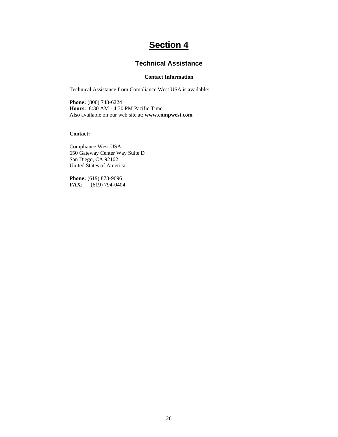# **Section 4**

## **Technical Assistance**

#### **Contact Information**

Technical Assistance from Compliance West USA is available:

**Phone:** (800) 748-6224 **Hours:** 8:30 AM - 4:30 PM Pacific Time. Also available on our web site at: **www.compwest.com**

#### **Contact:**

Compliance West USA 650 Gateway Center Way Suite D San Diego, CA 92102 United States of America.

**Phone:** (619) 878-9696 **FAX**: (619) 794-0404